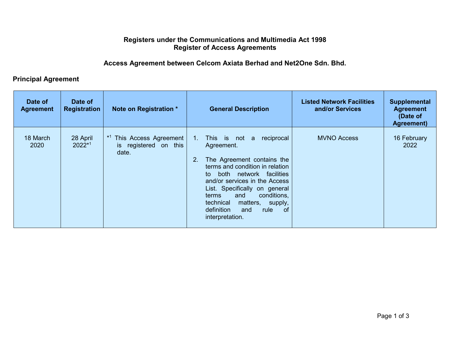## **Registers under the Communications and Multimedia Act 1998 Register of Access Agreements**

## **Access Agreement between Celcom Axiata Berhad and Net2One Sdn. Bhd.**

## **Principal Agreement**

| Date of<br><b>Agreement</b> | Date of<br><b>Registration</b> | Note on Registration *                                  | <b>General Description</b>                                                                                                                                                                                                                                                                                                                                     | <b>Listed Network Facilities</b><br>and/or Services | <b>Supplemental</b><br><b>Agreement</b><br>(Date of<br>Agreement) |
|-----------------------------|--------------------------------|---------------------------------------------------------|----------------------------------------------------------------------------------------------------------------------------------------------------------------------------------------------------------------------------------------------------------------------------------------------------------------------------------------------------------------|-----------------------------------------------------|-------------------------------------------------------------------|
| 18 March<br>2020            | 28 April<br>2022*1             | This Access Agreement<br>is registered on this<br>date. | This is not<br>reciprocal<br>$1_{\cdot}$<br>a<br>Agreement.<br>The Agreement contains the<br>2.<br>terms and condition in relation<br>both network facilities<br>to<br>and/or services in the Access<br>List. Specifically on general<br>conditions,<br>and<br>terms<br>matters,<br>technical<br>supply,<br>definition<br>of<br>rule<br>and<br>interpretation. | <b>MVNO Access</b>                                  | 16 February<br>2022                                               |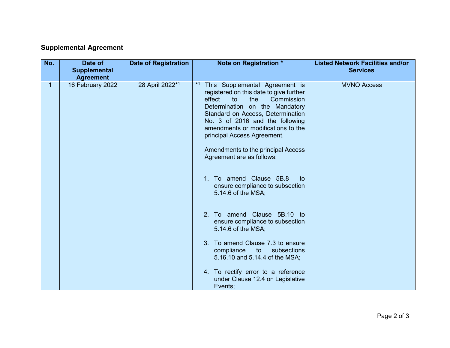## **Supplemental Agreement**

| No. | Date of<br><b>Supplemental</b><br><b>Agreement</b> | <b>Date of Registration</b> | Note on Registration *                                                                                                                                                                                                                                                                                                                                                                                                                                                            | <b>Listed Network Facilities and/or</b><br><b>Services</b> |
|-----|----------------------------------------------------|-----------------------------|-----------------------------------------------------------------------------------------------------------------------------------------------------------------------------------------------------------------------------------------------------------------------------------------------------------------------------------------------------------------------------------------------------------------------------------------------------------------------------------|------------------------------------------------------------|
| 1.  | 16 February 2022                                   | 28 April 2022*1             | $*1$<br>This Supplemental Agreement is<br>registered on this date to give further<br>effect<br>Commission<br>to<br>the<br>Determination on the Mandatory<br>Standard on Access, Determination<br>No. 3 of 2016 and the following<br>amendments or modifications to the<br>principal Access Agreement.<br>Amendments to the principal Access<br>Agreement are as follows:<br>To amend Clause 5B.8<br>1 <sup>1</sup><br>to<br>ensure compliance to subsection<br>5.14.6 of the MSA; | <b>MVNO Access</b>                                         |
|     |                                                    |                             | 2. To amend Clause 5B.10 to<br>ensure compliance to subsection<br>5.14.6 of the MSA;<br>To amend Clause 7.3 to ensure<br>3 <sub>1</sub><br>compliance to<br>subsections<br>5.16.10 and 5.14.4 of the MSA;                                                                                                                                                                                                                                                                         |                                                            |
|     |                                                    |                             | 4. To rectify error to a reference<br>under Clause 12.4 on Legislative<br>Events;                                                                                                                                                                                                                                                                                                                                                                                                 |                                                            |